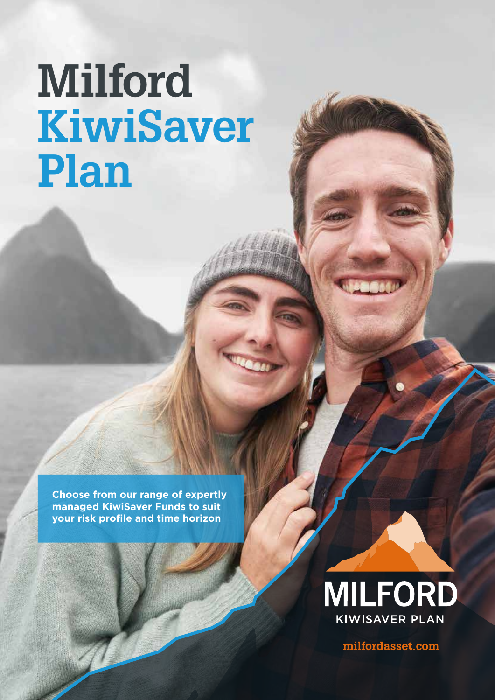# **Milford KiwiSaver Plan**

**Choose from our range of expertly managed KiwiSaver Funds to suit your risk profile and time horizon**



milfordasset.com